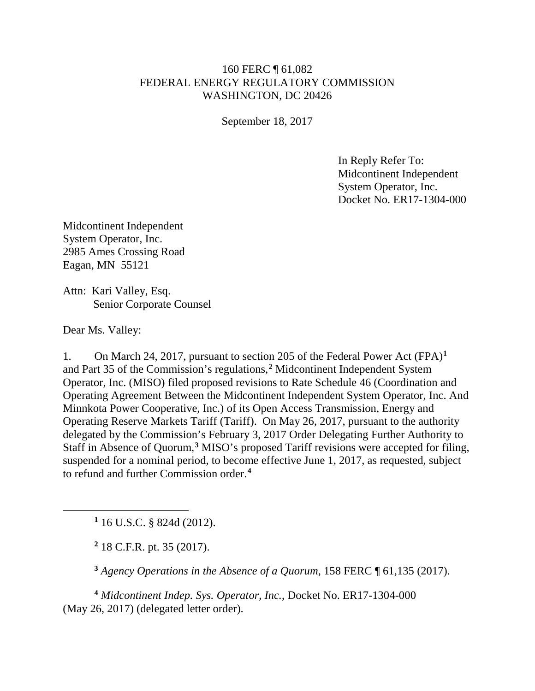## 160 FERC ¶ 61,082 FEDERAL ENERGY REGULATORY COMMISSION WASHINGTON, DC 20426

September 18, 2017

In Reply Refer To: Midcontinent Independent System Operator, Inc. Docket No. ER17-1304-000

Midcontinent Independent System Operator, Inc. 2985 Ames Crossing Road Eagan, MN 55121

Attn: Kari Valley, Esq. Senior Corporate Counsel

Dear Ms. Valley:

<span id="page-0-1"></span><span id="page-0-0"></span> $\overline{a}$ 

1. On March 24, 2017, pursuant to section 205 of the Federal Power Act (FPA)**[1](#page-0-0)** and Part 35 of the Commission's regulations,**[2](#page-0-1)** Midcontinent Independent System Operator, Inc. (MISO) filed proposed revisions to Rate Schedule 46 (Coordination and Operating Agreement Between the Midcontinent Independent System Operator, Inc. And Minnkota Power Cooperative, Inc.) of its Open Access Transmission, Energy and Operating Reserve Markets Tariff (Tariff). On May 26, 2017, pursuant to the authority delegated by the Commission's February 3, 2017 Order Delegating Further Authority to Staff in Absence of Quorum,**[3](#page-0-2)** MISO's proposed Tariff revisions were accepted for filing, suspended for a nominal period, to become effective June 1, 2017, as requested, subject to refund and further Commission order.**[4](#page-0-3)**

**<sup>1</sup>** 16 U.S.C. § 824d (2012).

**<sup>2</sup>** 18 C.F.R. pt. 35 (2017).

**<sup>3</sup>** *Agency Operations in the Absence of a Quorum*, 158 FERC ¶ 61,135 (2017).

<span id="page-0-3"></span><span id="page-0-2"></span>**<sup>4</sup>** *Midcontinent Indep. Sys. Operator, Inc.*, Docket No. ER17-1304-000 (May 26, 2017) (delegated letter order).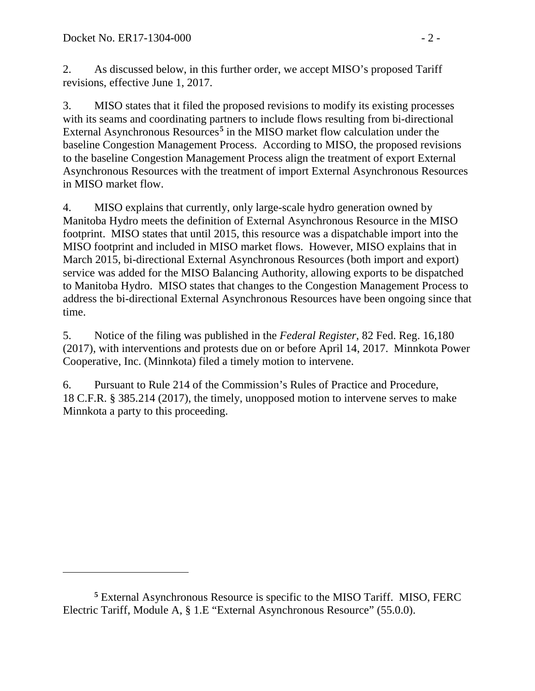$\overline{a}$ 

2. As discussed below, in this further order, we accept MISO's proposed Tariff revisions, effective June 1, 2017.

3. MISO states that it filed the proposed revisions to modify its existing processes with its seams and coordinating partners to include flows resulting from bi-directional External Asynchronous Resources**[5](#page-1-0)** in the MISO market flow calculation under the baseline Congestion Management Process. According to MISO, the proposed revisions to the baseline Congestion Management Process align the treatment of export External Asynchronous Resources with the treatment of import External Asynchronous Resources in MISO market flow.

4. MISO explains that currently, only large-scale hydro generation owned by Manitoba Hydro meets the definition of External Asynchronous Resource in the MISO footprint. MISO states that until 2015, this resource was a dispatchable import into the MISO footprint and included in MISO market flows. However, MISO explains that in March 2015, bi-directional External Asynchronous Resources (both import and export) service was added for the MISO Balancing Authority, allowing exports to be dispatched to Manitoba Hydro. MISO states that changes to the Congestion Management Process to address the bi-directional External Asynchronous Resources have been ongoing since that time.

5. Notice of the filing was published in the *Federal Register*, 82 Fed. Reg. 16,180 (2017), with interventions and protests due on or before April 14, 2017. Minnkota Power Cooperative, Inc. (Minnkota) filed a timely motion to intervene.

6. Pursuant to Rule 214 of the Commission's Rules of Practice and Procedure, 18 C.F.R. § 385.214 (2017), the timely, unopposed motion to intervene serves to make Minnkota a party to this proceeding.

<span id="page-1-0"></span>**<sup>5</sup>** External Asynchronous Resource is specific to the MISO Tariff. MISO, FERC Electric Tariff, Module A, § 1.E "External Asynchronous Resource" (55.0.0).